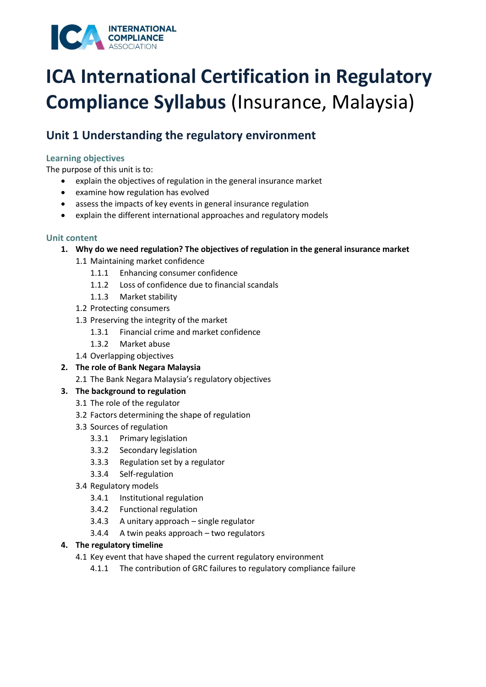

## **Unit 1 Understanding the regulatory environment**

## **Learning objectives**

The purpose of this unit is to:

- explain the objectives of regulation in the general insurance market
- examine how regulation has evolved
- assess the impacts of key events in general insurance regulation
- explain the different international approaches and regulatory models

## **Unit content**

- **1. Why do we need regulation? The objectives of regulation in the general insurance market** 
	- 1.1 Maintaining market confidence
		- 1.1.1 Enhancing consumer confidence
		- 1.1.2 Loss of confidence due to financial scandals
		- 1.1.3 Market stability
	- 1.2 Protecting consumers
	- 1.3 Preserving the integrity of the market
		- 1.3.1 Financial crime and market confidence
		- 1.3.2 Market abuse
	- 1.4 Overlapping objectives
- **2. The role of Bank Negara Malaysia** 
	- 2.1 The Bank Negara Malaysia's regulatory objectives

## **3. The background to regulation**

- 3.1 The role of the regulator
- 3.2 Factors determining the shape of regulation
- 3.3 Sources of regulation
	- 3.3.1 Primary legislation
	- 3.3.2 Secondary legislation
	- 3.3.3 Regulation set by a regulator
	- 3.3.4 Self-regulation
- 3.4 Regulatory models
	- 3.4.1 Institutional regulation
	- 3.4.2 Functional regulation
	- 3.4.3 A unitary approach single regulator
	- 3.4.4 A twin peaks approach two regulators

## **4. The regulatory timeline**

- 4.1 Key event that have shaped the current regulatory environment
	- 4.1.1 The contribution of GRC failures to regulatory compliance failure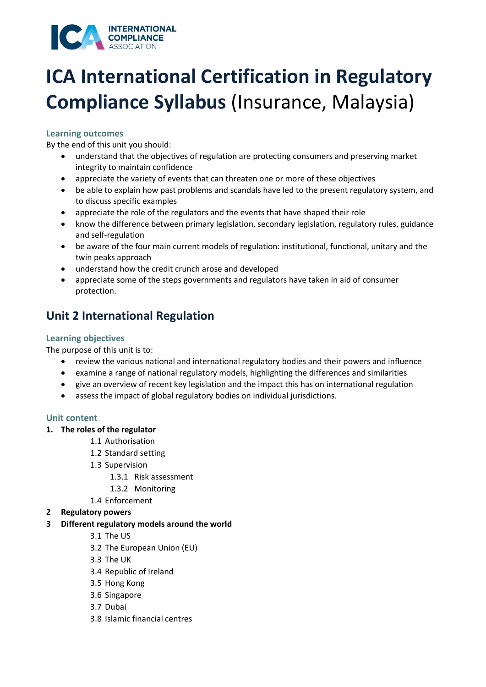

## **Learning outcomes**

By the end of this unit you should:

- understand that the objectives of regulation are protecting consumers and preserving market integrity to maintain confidence
- appreciate the variety of events that can threaten one or more of these objectives
- be able to explain how past problems and scandals have led to the present regulatory system, and to discuss specific examples
- appreciate the role of the regulators and the events that have shaped their role
- know the difference between primary legislation, secondary legislation, regulatory rules, guidance and self-regulation
- be aware of the four main current models of regulation: institutional, functional, unitary and the twin peaks approach
- understand how the credit crunch arose and developed
- appreciate some of the steps governments and regulators have taken in aid of consumer protection.

## **Unit 2 International Regulation**

### **Learning objectives**

The purpose of this unit is to:

- review the various national and international regulatory bodies and their powers and influence
- examine a range of national regulatory models, highlighting the differences and similarities
- give an overview of recent key legislation and the impact this has on international regulation
- assess the impact of global regulatory bodies on individual jurisdictions.

#### **Unit content**

#### **1. The roles of the regulator**

- 1.1 Authorisation
- 1.2 Standard setting
- 1.3 Supervision
	- 1.3.1 Risk assessment
	- 1.3.2 Monitoring
- 1.4 Enforcement
- **2 Regulatory powers**
- **3 Different regulatory models around the world** 
	- 3.1 The US
	- 3.2 The European Union (EU)
	- 3.3 The UK
	- 3.4 Republic of Ireland
	- 3.5 Hong Kong
	- 3.6 Singapore
	- 3.7 Dubai
	- 3.8 Islamic financial centres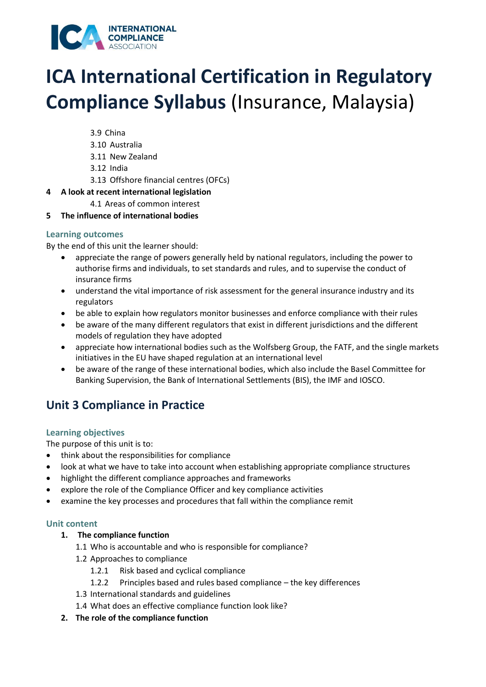

- 3.9 China
- 3.10 Australia
- 3.11 New Zealand
- 3.12 India
- 3.13 Offshore financial centres (OFCs)

### **4 A look at recent international legislation**

- 4.1 Areas of common interest
- **5 The influence of international bodies**

### **Learning outcomes**

By the end of this unit the learner should:

- appreciate the range of powers generally held by national regulators, including the power to authorise firms and individuals, to set standards and rules, and to supervise the conduct of insurance firms
- understand the vital importance of risk assessment for the general insurance industry and its regulators
- be able to explain how regulators monitor businesses and enforce compliance with their rules
- be aware of the many different regulators that exist in different jurisdictions and the different models of regulation they have adopted
- appreciate how international bodies such as the Wolfsberg Group, the FATF, and the single markets initiatives in the EU have shaped regulation at an international level
- be aware of the range of these international bodies, which also include the Basel Committee for Banking Supervision, the Bank of International Settlements (BIS), the IMF and IOSCO.

## **Unit 3 Compliance in Practice**

## **Learning objectives**

The purpose of this unit is to:

- think about the responsibilities for compliance
- look at what we have to take into account when establishing appropriate compliance structures
- highlight the different compliance approaches and frameworks
- explore the role of the Compliance Officer and key compliance activities
- examine the key processes and procedures that fall within the compliance remit

## **Unit content**

## **1. The compliance function**

- 1.1 Who is accountable and who is responsible for compliance?
- 1.2 Approaches to compliance
	- 1.2.1 Risk based and cyclical compliance
	- 1.2.2 Principles based and rules based compliance the key differences
- 1.3 International standards and guidelines
- 1.4 What does an effective compliance function look like?
- **2. The role of the compliance function**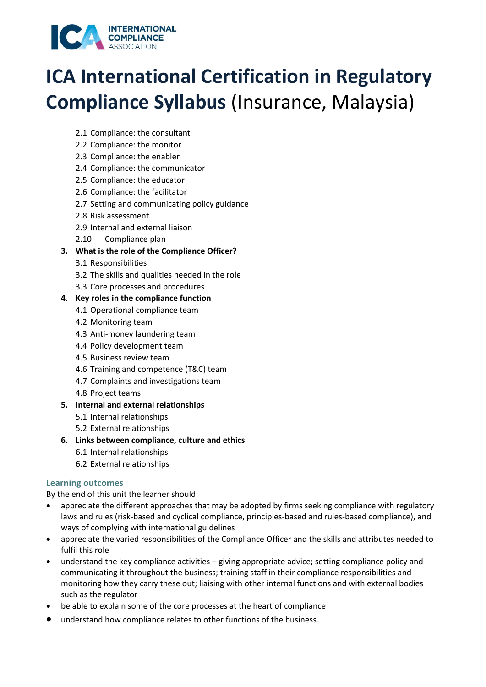

- 2.1 Compliance: the consultant
- 2.2 Compliance: the monitor
- 2.3 Compliance: the enabler
- 2.4 Compliance: the communicator
- 2.5 Compliance: the educator
- 2.6 Compliance: the facilitator
- 2.7 Setting and communicating policy guidance
- 2.8 Risk assessment
- 2.9 Internal and external liaison
- 2.10 Compliance plan

## **3. What is the role of the Compliance Officer?**

- 3.1 Responsibilities
- 3.2 The skills and qualities needed in the role
- 3.3 Core processes and procedures
- **4. Key roles in the compliance function** 
	- 4.1 Operational compliance team
	- 4.2 Monitoring team
	- 4.3 Anti-money laundering team
	- 4.4 Policy development team
	- 4.5 Business review team
	- 4.6 Training and competence (T&C) team
	- 4.7 Complaints and investigations team
	- 4.8 Project teams
- **5. Internal and external relationships** 
	- 5.1 Internal relationships
	- 5.2 External relationships
- **6. Links between compliance, culture and ethics**
	- 6.1 Internal relationships
	- 6.2 External relationships

## **Learning outcomes**

- appreciate the different approaches that may be adopted by firms seeking compliance with regulatory laws and rules (risk-based and cyclical compliance, principles-based and rules-based compliance), and ways of complying with international guidelines
- appreciate the varied responsibilities of the Compliance Officer and the skills and attributes needed to fulfil this role
- understand the key compliance activities giving appropriate advice; setting compliance policy and communicating it throughout the business; training staff in their compliance responsibilities and monitoring how they carry these out; liaising with other internal functions and with external bodies such as the regulator
- be able to explain some of the core processes at the heart of compliance
- understand how compliance relates to other functions of the business.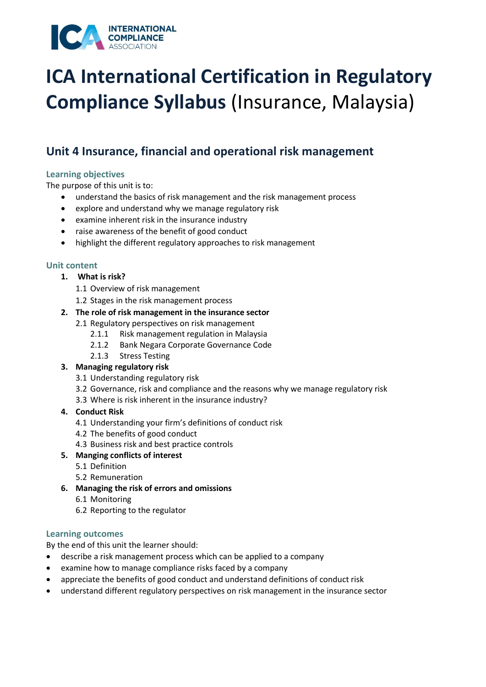

## **Unit 4 Insurance, financial and operational risk management**

## **Learning objectives**

The purpose of this unit is to:

- understand the basics of risk management and the risk management process
- explore and understand why we manage regulatory risk
- examine inherent risk in the insurance industry
- raise awareness of the benefit of good conduct
- highlight the different regulatory approaches to risk management

## **Unit content**

- **1. What is risk?** 
	- 1.1 Overview of risk management
	- 1.2 Stages in the risk management process

## **2. The role of risk management in the insurance sector**

- 2.1 Regulatory perspectives on risk management
	- 2.1.1 Risk management regulation in Malaysia
	- 2.1.2 Bank Negara Corporate Governance Code
	- 2.1.3 Stress Testing

## **3. Managing regulatory risk**

- 3.1 Understanding regulatory risk
- 3.2 Governance, risk and compliance and the reasons why we manage regulatory risk
- 3.3 Where is risk inherent in the insurance industry?

## **4. Conduct Risk**

- 4.1 Understanding your firm's definitions of conduct risk
- 4.2 The benefits of good conduct
- 4.3 Business risk and best practice controls
- **5. Manging conflicts of interest** 
	- 5.1 Definition
	- 5.2 Remuneration
- **6. Managing the risk of errors and omissions**
	- 6.1 Monitoring
	- 6.2 Reporting to the regulator

## **Learning outcomes**

- describe a risk management process which can be applied to a company
- examine how to manage compliance risks faced by a company
- appreciate the benefits of good conduct and understand definitions of conduct risk
- understand different regulatory perspectives on risk management in the insurance sector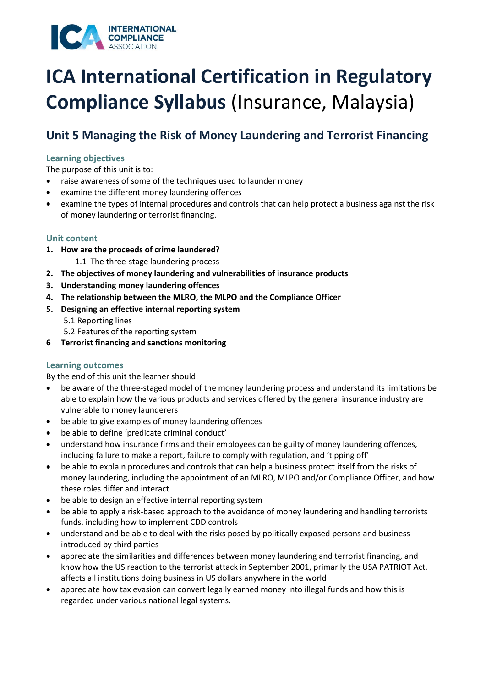

## **Unit 5 Managing the Risk of Money Laundering and Terrorist Financing**

### **Learning objectives**

The purpose of this unit is to:

- raise awareness of some of the techniques used to launder money
- examine the different money laundering offences
- examine the types of internal procedures and controls that can help protect a business against the risk of money laundering or terrorist financing.

### **Unit content**

- **1. How are the proceeds of crime laundered?** 
	- 1.1 The three-stage laundering process
- **2. The objectives of money laundering and vulnerabilities of insurance products**
- **3. Understanding money laundering offences**
- **4. The relationship between the MLRO, the MLPO and the Compliance Officer**
- **5. Designing an effective internal reporting system** 
	- 5.1 Reporting lines
	- 5.2 Features of the reporting system
- **6 Terrorist financing and sanctions monitoring**

#### **Learning outcomes**

- be aware of the three-staged model of the money laundering process and understand its limitations be able to explain how the various products and services offered by the general insurance industry are vulnerable to money launderers
- be able to give examples of money laundering offences
- be able to define 'predicate criminal conduct'
- understand how insurance firms and their employees can be guilty of money laundering offences, including failure to make a report, failure to comply with regulation, and 'tipping off'
- be able to explain procedures and controls that can help a business protect itself from the risks of money laundering, including the appointment of an MLRO, MLPO and/or Compliance Officer, and how these roles differ and interact
- be able to design an effective internal reporting system
- be able to apply a risk-based approach to the avoidance of money laundering and handling terrorists funds, including how to implement CDD controls
- understand and be able to deal with the risks posed by politically exposed persons and business introduced by third parties
- appreciate the similarities and differences between money laundering and terrorist financing, and know how the US reaction to the terrorist attack in September 2001, primarily the USA PATRIOT Act, affects all institutions doing business in US dollars anywhere in the world
- appreciate how tax evasion can convert legally earned money into illegal funds and how this is regarded under various national legal systems.